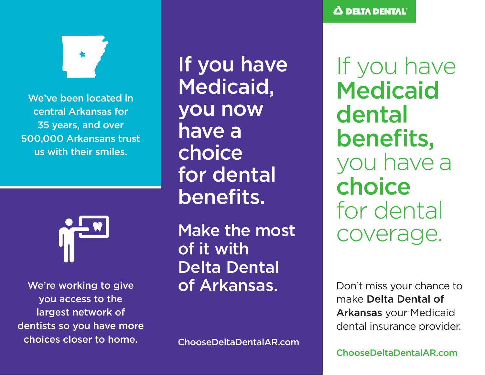

We've been located in central Arkansas for 35 years, and over 500,000 Arkansans trust us with their smiles.



We're working to give you access to the largest network of dentists so you have more choices closer to home.

If you have Medicaid, you now have a choice for dental benefits.

Make the most of it with Delta Dental of Arkansas.

ChooseDeltaDentalAR.com

If you have Medicaid dental benefits, you have a choice for dental coverage.

Don't miss your chance to make Delta Dental of Arkansas your Medicaid dental insurance provider.

ChooseDeltaDentalAR.com